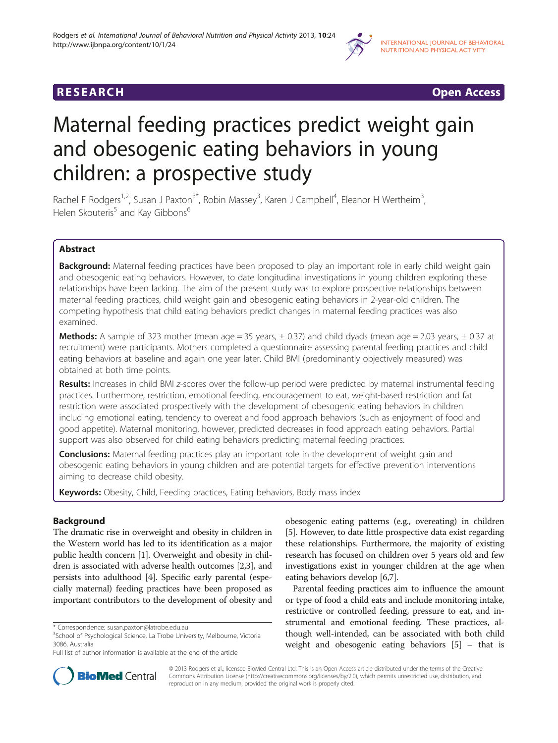



# Maternal feeding practices predict weight gain and obesogenic eating behaviors in young children: a prospective study

Rachel F Rodgers<sup>1,2</sup>, Susan J Paxton<sup>3\*</sup>, Robin Massey<sup>3</sup>, Karen J Campbell<sup>4</sup>, Eleanor H Wertheim<sup>3</sup> , Helen Skouteris<sup>5</sup> and Kay Gibbons<sup>6</sup>

# Abstract

Background: Maternal feeding practices have been proposed to play an important role in early child weight gain and obesogenic eating behaviors. However, to date longitudinal investigations in young children exploring these relationships have been lacking. The aim of the present study was to explore prospective relationships between maternal feeding practices, child weight gain and obesogenic eating behaviors in 2-year-old children. The competing hypothesis that child eating behaviors predict changes in maternal feeding practices was also examined.

**Methods:** A sample of 323 mother (mean age = 35 years,  $\pm$  0.37) and child dyads (mean age = 2.03 years,  $\pm$  0.37 at recruitment) were participants. Mothers completed a questionnaire assessing parental feeding practices and child eating behaviors at baseline and again one year later. Child BMI (predominantly objectively measured) was obtained at both time points.

Results: Increases in child BMI z-scores over the follow-up period were predicted by maternal instrumental feeding practices. Furthermore, restriction, emotional feeding, encouragement to eat, weight-based restriction and fat restriction were associated prospectively with the development of obesogenic eating behaviors in children including emotional eating, tendency to overeat and food approach behaviors (such as enjoyment of food and good appetite). Maternal monitoring, however, predicted decreases in food approach eating behaviors. Partial support was also observed for child eating behaviors predicting maternal feeding practices.

**Conclusions:** Maternal feeding practices play an important role in the development of weight gain and obesogenic eating behaviors in young children and are potential targets for effective prevention interventions aiming to decrease child obesity.

Keywords: Obesity, Child, Feeding practices, Eating behaviors, Body mass index

# **Background**

The dramatic rise in overweight and obesity in children in the Western world has led to its identification as a major public health concern [\[1](#page-8-0)]. Overweight and obesity in children is associated with adverse health outcomes [\[2,3\]](#page-8-0), and persists into adulthood [\[4](#page-8-0)]. Specific early parental (especially maternal) feeding practices have been proposed as important contributors to the development of obesity and

obesogenic eating patterns (e.g., overeating) in children [[5\]](#page-8-0). However, to date little prospective data exist regarding these relationships. Furthermore, the majority of existing research has focused on children over 5 years old and few investigations exist in younger children at the age when eating behaviors develop [[6](#page-8-0),[7](#page-8-0)].

Parental feeding practices aim to influence the amount or type of food a child eats and include monitoring intake, restrictive or controlled feeding, pressure to eat, and instrumental and emotional feeding. These practices, although well-intended, can be associated with both child weight and obesogenic eating behaviors [\[5\]](#page-8-0) – that is



© 2013 Rodgers et al.; licensee BioMed Central Ltd. This is an Open Access article distributed under the terms of the Creative Commons Attribution License [\(http://creativecommons.org/licenses/by/2.0\)](http://creativecommons.org/licenses/by/2.0), which permits unrestricted use, distribution, and reproduction in any medium, provided the original work is properly cited.

<sup>\*</sup> Correspondence: [susan.paxton@latrobe.edu.au](mailto:susan.paxton@latrobe.edu.au) <sup>3</sup>

<sup>&</sup>lt;sup>3</sup>School of Psychological Science, La Trobe University, Melbourne, Victoria 3086, Australia

Full list of author information is available at the end of the article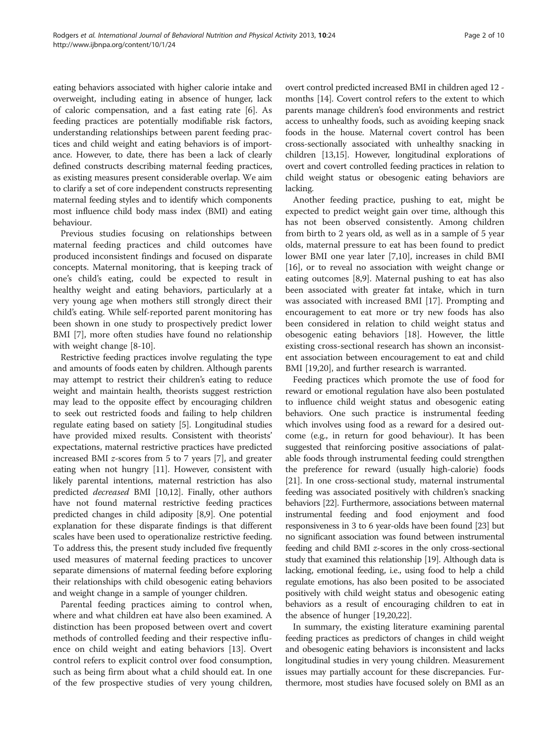eating behaviors associated with higher calorie intake and overweight, including eating in absence of hunger, lack of caloric compensation, and a fast eating rate [[6\]](#page-8-0). As feeding practices are potentially modifiable risk factors, understanding relationships between parent feeding practices and child weight and eating behaviors is of importance. However, to date, there has been a lack of clearly defined constructs describing maternal feeding practices, as existing measures present considerable overlap. We aim to clarify a set of core independent constructs representing maternal feeding styles and to identify which components most influence child body mass index (BMI) and eating behaviour.

Previous studies focusing on relationships between maternal feeding practices and child outcomes have produced inconsistent findings and focused on disparate concepts. Maternal monitoring, that is keeping track of one's child's eating, could be expected to result in healthy weight and eating behaviors, particularly at a very young age when mothers still strongly direct their child's eating. While self-reported parent monitoring has been shown in one study to prospectively predict lower BMI [[7\]](#page-8-0), more often studies have found no relationship with weight change [\[8](#page-8-0)-[10](#page-8-0)].

Restrictive feeding practices involve regulating the type and amounts of foods eaten by children. Although parents may attempt to restrict their children's eating to reduce weight and maintain health, theorists suggest restriction may lead to the opposite effect by encouraging children to seek out restricted foods and failing to help children regulate eating based on satiety [\[5\]](#page-8-0). Longitudinal studies have provided mixed results. Consistent with theorists' expectations, maternal restrictive practices have predicted increased BMI z-scores from 5 to 7 years [\[7](#page-8-0)], and greater eating when not hungry [\[11\]](#page-8-0). However, consistent with likely parental intentions, maternal restriction has also predicted decreased BMI [\[10,12](#page-8-0)]. Finally, other authors have not found maternal restrictive feeding practices predicted changes in child adiposity [[8,9\]](#page-8-0). One potential explanation for these disparate findings is that different scales have been used to operationalize restrictive feeding. To address this, the present study included five frequently used measures of maternal feeding practices to uncover separate dimensions of maternal feeding before exploring their relationships with child obesogenic eating behaviors and weight change in a sample of younger children.

Parental feeding practices aiming to control when, where and what children eat have also been examined. A distinction has been proposed between overt and covert methods of controlled feeding and their respective influence on child weight and eating behaviors [\[13](#page-8-0)]. Overt control refers to explicit control over food consumption, such as being firm about what a child should eat. In one of the few prospective studies of very young children,

overt control predicted increased BMI in children aged 12 months [[14](#page-8-0)]. Covert control refers to the extent to which parents manage children's food environments and restrict access to unhealthy foods, such as avoiding keeping snack foods in the house. Maternal covert control has been cross-sectionally associated with unhealthy snacking in children [[13,15\]](#page-8-0). However, longitudinal explorations of overt and covert controlled feeding practices in relation to child weight status or obesogenic eating behaviors are lacking.

Another feeding practice, pushing to eat, might be expected to predict weight gain over time, although this has not been observed consistently. Among children from birth to 2 years old, as well as in a sample of 5 year olds, maternal pressure to eat has been found to predict lower BMI one year later [[7,10\]](#page-8-0), increases in child BMI [[16\]](#page-9-0), or to reveal no association with weight change or eating outcomes [[8](#page-8-0),[9\]](#page-8-0). Maternal pushing to eat has also been associated with greater fat intake, which in turn was associated with increased BMI [\[17](#page-9-0)]. Prompting and encouragement to eat more or try new foods has also been considered in relation to child weight status and obesogenic eating behaviors [\[18](#page-9-0)]. However, the little existing cross-sectional research has shown an inconsistent association between encouragement to eat and child BMI [\[19,20\]](#page-9-0), and further research is warranted.

Feeding practices which promote the use of food for reward or emotional regulation have also been postulated to influence child weight status and obesogenic eating behaviors. One such practice is instrumental feeding which involves using food as a reward for a desired outcome (e.g., in return for good behaviour). It has been suggested that reinforcing positive associations of palatable foods through instrumental feeding could strengthen the preference for reward (usually high-calorie) foods [[21](#page-9-0)]. In one cross-sectional study, maternal instrumental feeding was associated positively with children's snacking behaviors [[22\]](#page-9-0). Furthermore, associations between maternal instrumental feeding and food enjoyment and food responsiveness in 3 to 6 year-olds have been found [\[23\]](#page-9-0) but no significant association was found between instrumental feeding and child BMI z-scores in the only cross-sectional study that examined this relationship [\[19\]](#page-9-0). Although data is lacking, emotional feeding, i.e., using food to help a child regulate emotions, has also been posited to be associated positively with child weight status and obesogenic eating behaviors as a result of encouraging children to eat in the absence of hunger [\[19,20,22](#page-9-0)].

In summary, the existing literature examining parental feeding practices as predictors of changes in child weight and obesogenic eating behaviors is inconsistent and lacks longitudinal studies in very young children. Measurement issues may partially account for these discrepancies. Furthermore, most studies have focused solely on BMI as an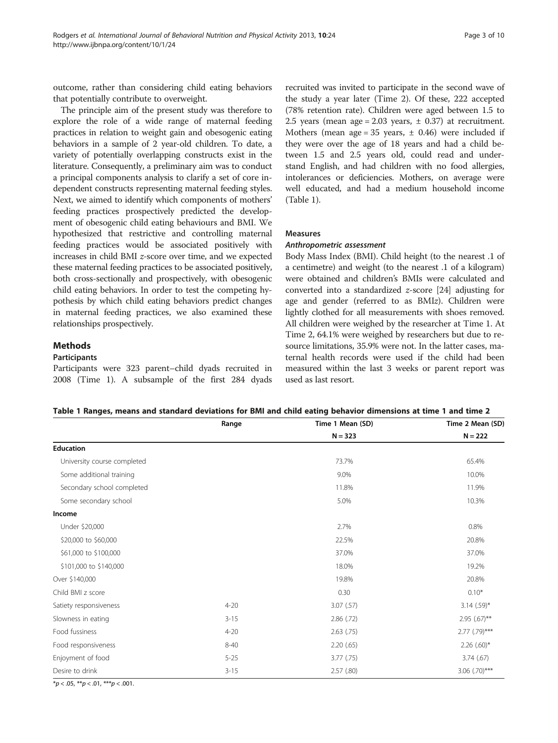<span id="page-2-0"></span>outcome, rather than considering child eating behaviors that potentially contribute to overweight.

The principle aim of the present study was therefore to explore the role of a wide range of maternal feeding practices in relation to weight gain and obesogenic eating behaviors in a sample of 2 year-old children. To date, a variety of potentially overlapping constructs exist in the literature. Consequently, a preliminary aim was to conduct a principal components analysis to clarify a set of core independent constructs representing maternal feeding styles. Next, we aimed to identify which components of mothers' feeding practices prospectively predicted the development of obesogenic child eating behaviours and BMI. We hypothesized that restrictive and controlling maternal feeding practices would be associated positively with increases in child BMI z-score over time, and we expected these maternal feeding practices to be associated positively, both cross-sectionally and prospectively, with obesogenic child eating behaviors. In order to test the competing hypothesis by which child eating behaviors predict changes in maternal feeding practices, we also examined these relationships prospectively.

# Methods

#### Participants

Participants were 323 parent–child dyads recruited in 2008 (Time 1). A subsample of the first 284 dyads

recruited was invited to participate in the second wave of the study a year later (Time 2). Of these, 222 accepted (78% retention rate). Children were aged between 1.5 to 2.5 years (mean age = 2.03 years,  $\pm$  0.37) at recruitment. Mothers (mean age = 35 years,  $\pm$  0.46) were included if they were over the age of 18 years and had a child between 1.5 and 2.5 years old, could read and understand English, and had children with no food allergies, intolerances or deficiencies. Mothers, on average were well educated, and had a medium household income (Table 1).

# Measures

#### Anthropometric assessment

Body Mass Index (BMI). Child height (to the nearest .1 of a centimetre) and weight (to the nearest .1 of a kilogram) were obtained and children's BMIs were calculated and converted into a standardized z-score [\[24\]](#page-9-0) adjusting for age and gender (referred to as BMIz). Children were lightly clothed for all measurements with shoes removed. All children were weighed by the researcher at Time 1. At Time 2, 64.1% were weighed by researchers but due to resource limitations, 35.9% were not. In the latter cases, maternal health records were used if the child had been measured within the last 3 weeks or parent report was used as last resort.

|                             | Range    | Time 1 Mean (SD) | Time 2 Mean (SD)          |
|-----------------------------|----------|------------------|---------------------------|
|                             |          | $N = 323$        | $N = 222$                 |
| <b>Education</b>            |          |                  |                           |
| University course completed |          | 73.7%            | 65.4%                     |
| Some additional training    |          | 9.0%             | 10.0%                     |
| Secondary school completed  |          | 11.8%            | 11.9%                     |
| Some secondary school       |          | 5.0%             | 10.3%                     |
| Income                      |          |                  |                           |
| Under \$20,000              |          | 2.7%             | 0.8%                      |
| \$20,000 to \$60,000        |          | 22.5%            | 20.8%                     |
| \$61,000 to \$100,000       |          | 37.0%            | 37.0%                     |
| \$101,000 to \$140,000      |          | 18.0%            | 19.2%                     |
| Over \$140,000              |          | 19.8%            | 20.8%                     |
| Child BMI z score           |          | 0.30             | $0.10*$                   |
| Satiety responsiveness      | $4 - 20$ | $3.07$ (.57)     | $3.14$ (.59)*             |
| Slowness in eating          | $3 - 15$ | 2.86(.72)        | $2.95$ (.67)**            |
| Food fussiness              | $4 - 20$ | $2.63$ $(.75)$   | $2.77$ $(.79)$ ***        |
| Food responsiveness         | $8 - 40$ | 2.20(65)         | $2.26$ (.60) <sup>*</sup> |
| Enjoyment of food           | $5 - 25$ | $3.77$ $(.75)$   | 3.74(67)                  |
| Desire to drink             | $3 - 15$ | 2.57(0.80)       | $3.06$ $(.70)$ ***        |

 $*p < .05, **p < .01, **p < .001.$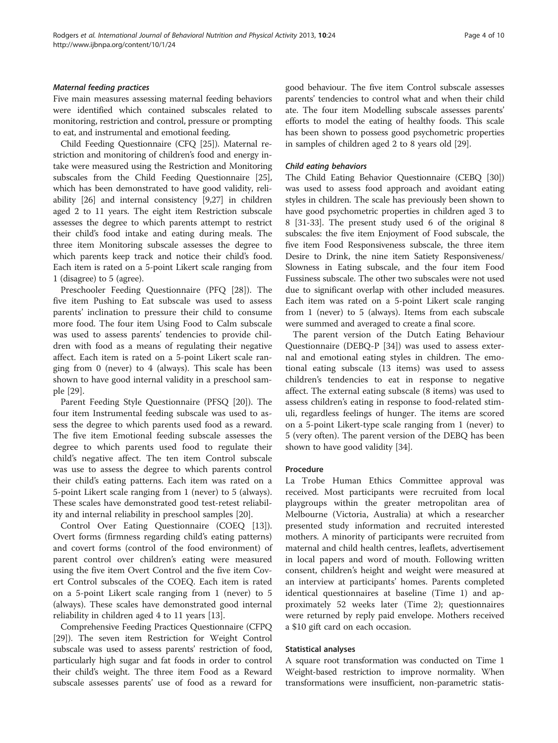#### Maternal feeding practices

Five main measures assessing maternal feeding behaviors were identified which contained subscales related to monitoring, restriction and control, pressure or prompting to eat, and instrumental and emotional feeding.

Child Feeding Questionnaire (CFQ [\[25](#page-9-0)]). Maternal restriction and monitoring of children's food and energy intake were measured using the Restriction and Monitoring subscales from the Child Feeding Questionnaire [[25](#page-9-0)], which has been demonstrated to have good validity, reliability [\[26](#page-9-0)] and internal consistency [\[9](#page-8-0)[,27\]](#page-9-0) in children aged 2 to 11 years. The eight item Restriction subscale assesses the degree to which parents attempt to restrict their child's food intake and eating during meals. The three item Monitoring subscale assesses the degree to which parents keep track and notice their child's food. Each item is rated on a 5-point Likert scale ranging from 1 (disagree) to 5 (agree).

Preschooler Feeding Questionnaire (PFQ [\[28](#page-9-0)]). The five item Pushing to Eat subscale was used to assess parents' inclination to pressure their child to consume more food. The four item Using Food to Calm subscale was used to assess parents' tendencies to provide children with food as a means of regulating their negative affect. Each item is rated on a 5-point Likert scale ranging from 0 (never) to 4 (always). This scale has been shown to have good internal validity in a preschool sample [[29\]](#page-9-0).

Parent Feeding Style Questionnaire (PFSQ [[20\]](#page-9-0)). The four item Instrumental feeding subscale was used to assess the degree to which parents used food as a reward. The five item Emotional feeding subscale assesses the degree to which parents used food to regulate their child's negative affect. The ten item Control subscale was use to assess the degree to which parents control their child's eating patterns. Each item was rated on a 5-point Likert scale ranging from 1 (never) to 5 (always). These scales have demonstrated good test-retest reliability and internal reliability in preschool samples [[20\]](#page-9-0).

Control Over Eating Questionnaire (COEQ [\[13](#page-8-0)]). Overt forms (firmness regarding child's eating patterns) and covert forms (control of the food environment) of parent control over children's eating were measured using the five item Overt Control and the five item Covert Control subscales of the COEQ. Each item is rated on a 5-point Likert scale ranging from 1 (never) to 5 (always). These scales have demonstrated good internal reliability in children aged 4 to 11 years [\[13](#page-8-0)].

Comprehensive Feeding Practices Questionnaire (CFPQ [[29](#page-9-0)]). The seven item Restriction for Weight Control subscale was used to assess parents' restriction of food, particularly high sugar and fat foods in order to control their child's weight. The three item Food as a Reward subscale assesses parents' use of food as a reward for

good behaviour. The five item Control subscale assesses parents' tendencies to control what and when their child ate. The four item Modelling subscale assesses parents' efforts to model the eating of healthy foods. This scale has been shown to possess good psychometric properties in samples of children aged 2 to 8 years old [\[29\]](#page-9-0).

#### Child eating behaviors

The Child Eating Behavior Questionnaire (CEBQ [[30](#page-9-0)]) was used to assess food approach and avoidant eating styles in children. The scale has previously been shown to have good psychometric properties in children aged 3 to 8 [[31-33\]](#page-9-0). The present study used 6 of the original 8 subscales: the five item Enjoyment of Food subscale, the five item Food Responsiveness subscale, the three item Desire to Drink, the nine item Satiety Responsiveness/ Slowness in Eating subscale, and the four item Food Fussiness subscale. The other two subscales were not used due to significant overlap with other included measures. Each item was rated on a 5-point Likert scale ranging from 1 (never) to 5 (always). Items from each subscale were summed and averaged to create a final score.

The parent version of the Dutch Eating Behaviour Questionnaire (DEBQ-P [\[34](#page-9-0)]) was used to assess external and emotional eating styles in children. The emotional eating subscale (13 items) was used to assess children's tendencies to eat in response to negative affect. The external eating subscale (8 items) was used to assess children's eating in response to food-related stimuli, regardless feelings of hunger. The items are scored on a 5-point Likert-type scale ranging from 1 (never) to 5 (very often). The parent version of the DEBQ has been shown to have good validity [\[34](#page-9-0)].

#### Procedure

La Trobe Human Ethics Committee approval was received. Most participants were recruited from local playgroups within the greater metropolitan area of Melbourne (Victoria, Australia) at which a researcher presented study information and recruited interested mothers. A minority of participants were recruited from maternal and child health centres, leaflets, advertisement in local papers and word of mouth. Following written consent, children's height and weight were measured at an interview at participants' homes. Parents completed identical questionnaires at baseline (Time 1) and approximately 52 weeks later (Time 2); questionnaires were returned by reply paid envelope. Mothers received a \$10 gift card on each occasion.

# Statistical analyses

A square root transformation was conducted on Time 1 Weight-based restriction to improve normality. When transformations were insufficient, non-parametric statis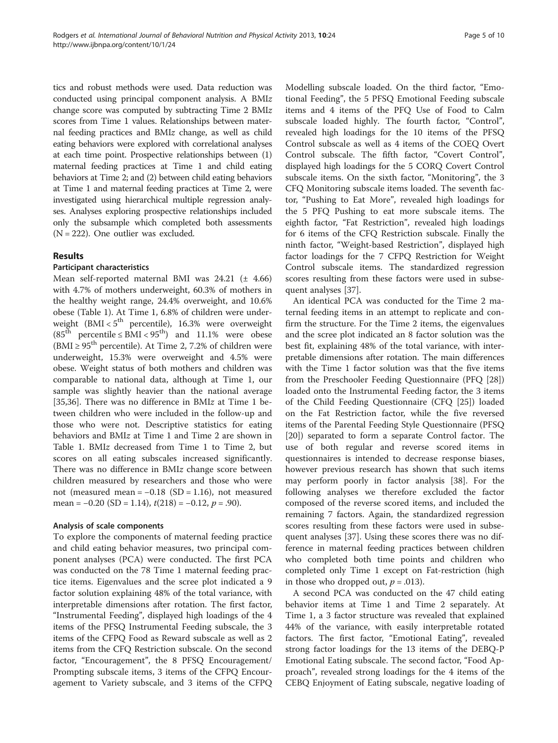tics and robust methods were used. Data reduction was conducted using principal component analysis. A BMIz change score was computed by subtracting Time 2 BMIz scores from Time 1 values. Relationships between maternal feeding practices and BMIz change, as well as child eating behaviors were explored with correlational analyses at each time point. Prospective relationships between (1) maternal feeding practices at Time 1 and child eating behaviors at Time 2; and (2) between child eating behaviors at Time 1 and maternal feeding practices at Time 2, were investigated using hierarchical multiple regression analyses. Analyses exploring prospective relationships included only the subsample which completed both assessments  $(N = 222)$ . One outlier was excluded.

# Results

# Participant characteristics

Mean self-reported maternal BMI was  $24.21$  ( $\pm$  4.66) with 4.7% of mothers underweight, 60.3% of mothers in the healthy weight range, 24.4% overweight, and 10.6% obese (Table [1\)](#page-2-0). At Time 1, 6.8% of children were underweight (BMI <  $5^{\text{th}}$  percentile), 16.3% were overweight  $(85<sup>th</sup>$  percentile  $\leq$  BMI  $<$  95<sup>th</sup>) and 11.1% were obese (BMI  $\geq$  95<sup>th</sup> percentile). At Time 2, 7.2% of children were underweight, 15.3% were overweight and 4.5% were obese. Weight status of both mothers and children was comparable to national data, although at Time 1, our sample was slightly heavier than the national average [[35,36\]](#page-9-0). There was no difference in BMIz at Time 1 between children who were included in the follow-up and those who were not. Descriptive statistics for eating behaviors and BMIz at Time 1 and Time 2 are shown in Table [1](#page-2-0). BMIz decreased from Time 1 to Time 2, but scores on all eating subscales increased significantly. There was no difference in BMIz change score between children measured by researchers and those who were not (measured mean =  $-0.18$  (SD = 1.16), not measured mean =  $-0.20$  (SD = 1.14),  $t(218) = -0.12$ ,  $p = .90$ ).

# Analysis of scale components

To explore the components of maternal feeding practice and child eating behavior measures, two principal component analyses (PCA) were conducted. The first PCA was conducted on the 78 Time 1 maternal feeding practice items. Eigenvalues and the scree plot indicated a 9 factor solution explaining 48% of the total variance, with interpretable dimensions after rotation. The first factor, "Instrumental Feeding", displayed high loadings of the 4 items of the PFSQ Instrumental Feeding subscale, the 3 items of the CFPQ Food as Reward subscale as well as 2 items from the CFQ Restriction subscale. On the second factor, "Encouragement", the 8 PFSQ Encouragement/ Prompting subscale items, 3 items of the CFPQ Encouragement to Variety subscale, and 3 items of the CFPQ

Modelling subscale loaded. On the third factor, "Emotional Feeding", the 5 PFSQ Emotional Feeding subscale items and 4 items of the PFQ Use of Food to Calm subscale loaded highly. The fourth factor, "Control", revealed high loadings for the 10 items of the PFSQ Control subscale as well as 4 items of the COEQ Overt Control subscale. The fifth factor, "Covert Control", displayed high loadings for the 5 CORQ Covert Control subscale items. On the sixth factor, "Monitoring", the 3 CFQ Monitoring subscale items loaded. The seventh factor, "Pushing to Eat More", revealed high loadings for the 5 PFQ Pushing to eat more subscale items. The eighth factor, "Fat Restriction", revealed high loadings for 6 items of the CFQ Restriction subscale. Finally the ninth factor, "Weight-based Restriction", displayed high factor loadings for the 7 CFPQ Restriction for Weight Control subscale items. The standardized regression scores resulting from these factors were used in subsequent analyses [\[37](#page-9-0)].

An identical PCA was conducted for the Time 2 maternal feeding items in an attempt to replicate and confirm the structure. For the Time 2 items, the eigenvalues and the scree plot indicated an 8 factor solution was the best fit, explaining 48% of the total variance, with interpretable dimensions after rotation. The main differences with the Time 1 factor solution was that the five items from the Preschooler Feeding Questionnaire (PFQ [\[28](#page-9-0)]) loaded onto the Instrumental Feeding factor, the 3 items of the Child Feeding Questionnaire (CFQ [[25\]](#page-9-0)) loaded on the Fat Restriction factor, while the five reversed items of the Parental Feeding Style Questionnaire (PFSQ [[20\]](#page-9-0)) separated to form a separate Control factor. The use of both regular and reverse scored items in questionnaires is intended to decrease response biases, however previous research has shown that such items may perform poorly in factor analysis [\[38\]](#page-9-0). For the following analyses we therefore excluded the factor composed of the reverse scored items, and included the remaining 7 factors. Again, the standardized regression scores resulting from these factors were used in subsequent analyses [[37\]](#page-9-0). Using these scores there was no difference in maternal feeding practices between children who completed both time points and children who completed only Time 1 except on Fat-restriction (high in those who dropped out,  $p = .013$ ).

A second PCA was conducted on the 47 child eating behavior items at Time 1 and Time 2 separately. At Time 1, a 3 factor structure was revealed that explained 44% of the variance, with easily interpretable rotated factors. The first factor, "Emotional Eating", revealed strong factor loadings for the 13 items of the DEBQ-P Emotional Eating subscale. The second factor, "Food Approach", revealed strong loadings for the 4 items of the CEBQ Enjoyment of Eating subscale, negative loading of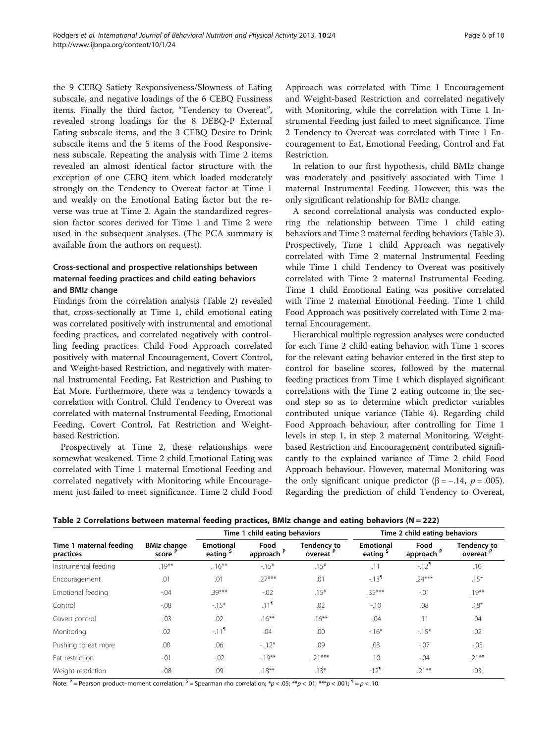the 9 CEBQ Satiety Responsiveness/Slowness of Eating subscale, and negative loadings of the 6 CEBQ Fussiness items. Finally the third factor, "Tendency to Overeat", revealed strong loadings for the 8 DEBQ-P External Eating subscale items, and the 3 CEBQ Desire to Drink subscale items and the 5 items of the Food Responsiveness subscale. Repeating the analysis with Time 2 items revealed an almost identical factor structure with the exception of one CEBQ item which loaded moderately strongly on the Tendency to Overeat factor at Time 1 and weakly on the Emotional Eating factor but the reverse was true at Time 2. Again the standardized regression factor scores derived for Time 1 and Time 2 were used in the subsequent analyses. (The PCA summary is available from the authors on request).

# Cross-sectional and prospective relationships between maternal feeding practices and child eating behaviors and BMIz change

Findings from the correlation analysis (Table 2) revealed that, cross-sectionally at Time 1, child emotional eating was correlated positively with instrumental and emotional feeding practices, and correlated negatively with controlling feeding practices. Child Food Approach correlated positively with maternal Encouragement, Covert Control, and Weight-based Restriction, and negatively with maternal Instrumental Feeding, Fat Restriction and Pushing to Eat More. Furthermore, there was a tendency towards a correlation with Control. Child Tendency to Overeat was correlated with maternal Instrumental Feeding, Emotional Feeding, Covert Control, Fat Restriction and Weightbased Restriction.

Prospectively at Time 2, these relationships were somewhat weakened. Time 2 child Emotional Eating was correlated with Time 1 maternal Emotional Feeding and correlated negatively with Monitoring while Encouragement just failed to meet significance. Time 2 child Food

Approach was correlated with Time 1 Encouragement and Weight-based Restriction and correlated negatively with Monitoring, while the correlation with Time 1 Instrumental Feeding just failed to meet significance. Time 2 Tendency to Overeat was correlated with Time 1 Encouragement to Eat, Emotional Feeding, Control and Fat Restriction.

In relation to our first hypothesis, child BMIz change was moderately and positively associated with Time 1 maternal Instrumental Feeding. However, this was the only significant relationship for BMIz change.

A second correlational analysis was conducted exploring the relationship between Time 1 child eating behaviors and Time 2 maternal feeding behaviors (Table [3](#page-6-0)). Prospectively, Time 1 child Approach was negatively correlated with Time 2 maternal Instrumental Feeding while Time 1 child Tendency to Overeat was positively correlated with Time 2 maternal Instrumental Feeding. Time 1 child Emotional Eating was positive correlated with Time 2 maternal Emotional Feeding. Time 1 child Food Approach was positively correlated with Time 2 maternal Encouragement.

Hierarchical multiple regression analyses were conducted for each Time 2 child eating behavior, with Time 1 scores for the relevant eating behavior entered in the first step to control for baseline scores, followed by the maternal feeding practices from Time 1 which displayed significant correlations with the Time 2 eating outcome in the second step so as to determine which predictor variables contributed unique variance (Table [4\)](#page-6-0). Regarding child Food Approach behaviour, after controlling for Time 1 levels in step 1, in step 2 maternal Monitoring, Weightbased Restriction and Encouragement contributed significantly to the explained variance of Time 2 child Food Approach behaviour. However, maternal Monitoring was the only significant unique predictor ( $\beta$  = -.14, p = .005). Regarding the prediction of child Tendency to Overeat,

Table 2 Correlations between maternal feeding practices, BMIz change and eating behaviors ( $N = 222$ )

|                                      |                                          |                                         | Time 1 child eating behaviors |                                 | Time 2 child eating behaviors           |                               |                                 |
|--------------------------------------|------------------------------------------|-----------------------------------------|-------------------------------|---------------------------------|-----------------------------------------|-------------------------------|---------------------------------|
| Time 1 maternal feeding<br>practices | <b>BMIz change</b><br>score <sup>P</sup> | <b>Emotional</b><br>eating <sup>5</sup> | Food<br>approach <sup>P</sup> | <b>Tendency to</b><br>overeat P | <b>Emotional</b><br>eating <sup>5</sup> | Food<br>approach <sup>P</sup> | <b>Tendency to</b><br>overeat P |
| Instrumental feeding                 | $.19***$                                 | $.16***$                                | $-15*$                        | $.15*$                          | .11                                     | $-12^{1}$                     | .10                             |
| Encouragement                        | .01                                      | .01                                     | $.27***$                      | .01                             | $-13^{1}$                               | $.24***$                      | $.15*$                          |
| Emotional feeding                    | $-0.04$                                  | $.39***$                                | $-0.02$                       | $.15*$                          | $.35***$                                | $-01$                         | $.19***$                        |
| Control                              | $-0.08$                                  | $-15*$                                  | .11 <sup>9</sup>              | .02                             | $-10$                                   | .08                           | $.18*$                          |
| Covert control                       | $-0.03$                                  | .02                                     | $.16***$                      | $.16***$                        | $-.04$                                  | .11                           | .04                             |
| Monitoring                           | .02                                      | $-111$                                  | .04                           | .00                             | $-16*$                                  | $-15*$                        | .02                             |
| Pushing to eat more                  | .00                                      | .06                                     | $-.12*$                       | .09                             | .03                                     | $-.07$                        | $-0.05$                         |
| Fat restriction                      | $-.01$                                   | $-0.02$                                 | $-19**$                       | $.21***$                        | .10                                     | $-.04$                        | $.21***$                        |
| Weight restriction                   | $-0.08$                                  | .09                                     | $.18***$                      | $.13*$                          | $.12^{9}$                               | $.21***$                      | .03                             |

Note:  $P =$  Pearson product–moment correlation;  $S =$  Spearman rho correlation;  $*p < .05$ ;  $**p < .01$ ;  $***p < .001$ ;  $\Pi = p < .10$ .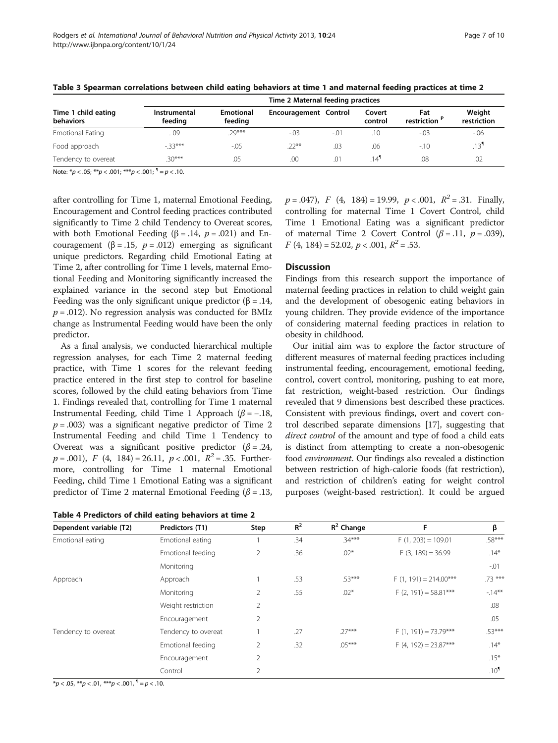|                                         | Time 2 Maternal feeding practices |                             |                       |        |                   |                      |                       |  |
|-----------------------------------------|-----------------------------------|-----------------------------|-----------------------|--------|-------------------|----------------------|-----------------------|--|
| Time 1 child eating<br><b>behaviors</b> | Instrumental<br>feeding           | <b>Emotional</b><br>feeding | Encouragement Control |        | Covert<br>control | Fat<br>restriction ' | Weight<br>restriction |  |
| <b>Emotional Eating</b>                 | 09                                | $.29***$                    | $-.03$                | $-.01$ | .10               | $-.03$               | $-0.06$               |  |
| Food approach                           | $-33***$                          | $-0.05$                     | $22**$                | .03    | .06               | $-10$                | .13 <sup>9</sup>      |  |
| Tendency to overeat                     | $.30***$<br>$\mathbf{r}$          | .05                         | .00                   | .01    | $14^{1}$          | .08                  | .02                   |  |

<span id="page-6-0"></span>Table 3 Spearman correlations between child eating behaviors at time 1 and maternal feeding practices at time 2

Note:  $* p < .05; ** p < .001; ** p < .001;$ <sup>1</sup> = p < .10.

after controlling for Time 1, maternal Emotional Feeding, Encouragement and Control feeding practices contributed significantly to Time 2 child Tendency to Overeat scores, with both Emotional Feeding ( $\beta$  = .14,  $p$  = .021) and Encouragement ( $\beta = .15$ ,  $p = .012$ ) emerging as significant unique predictors. Regarding child Emotional Eating at Time 2, after controlling for Time 1 levels, maternal Emotional Feeding and Monitoring significantly increased the explained variance in the second step but Emotional Feeding was the only significant unique predictor ( $\beta = .14$ ,  $p = .012$ ). No regression analysis was conducted for BMIz change as Instrumental Feeding would have been the only predictor.

As a final analysis, we conducted hierarchical multiple regression analyses, for each Time 2 maternal feeding practice, with Time 1 scores for the relevant feeding practice entered in the first step to control for baseline scores, followed by the child eating behaviors from Time 1. Findings revealed that, controlling for Time 1 maternal Instrumental Feeding, child Time 1 Approach ( $\beta$  = -.18,  $p = .003$ ) was a significant negative predictor of Time 2 Instrumental Feeding and child Time 1 Tendency to Overeat was a significant positive predictor  $(\beta = .24, )$  $p = .001$ ,  $F(4, 184) = 26.11$ ,  $p < .001$ ,  $R^2 = .35$ . Furthermore, controlling for Time 1 maternal Emotional Feeding, child Time 1 Emotional Eating was a significant predictor of Time 2 maternal Emotional Feeding ( $\beta$  = .13,

|  |  | Table 4 Predictors of child eating behaviors at time 2 |  |  |  |  |  |  |
|--|--|--------------------------------------------------------|--|--|--|--|--|--|
|--|--|--------------------------------------------------------|--|--|--|--|--|--|

 $p = .047$ ,  $F (4, 184) = 19.99$ ,  $p < .001$ ,  $R^2 = .31$ . Finally, controlling for maternal Time 1 Covert Control, child Time 1 Emotional Eating was a significant predictor of maternal Time 2 Covert Control  $(\beta = .11, p = .039)$ ,  $F(4, 184) = 52.02, p < .001, R^2 = .53.$ 

#### **Discussion**

Findings from this research support the importance of maternal feeding practices in relation to child weight gain and the development of obesogenic eating behaviors in young children. They provide evidence of the importance of considering maternal feeding practices in relation to obesity in childhood.

Our initial aim was to explore the factor structure of different measures of maternal feeding practices including instrumental feeding, encouragement, emotional feeding, control, covert control, monitoring, pushing to eat more, fat restriction, weight-based restriction. Our findings revealed that 9 dimensions best described these practices. Consistent with previous findings, overt and covert control described separate dimensions [\[17\]](#page-9-0), suggesting that direct control of the amount and type of food a child eats is distinct from attempting to create a non-obesogenic food environment. Our findings also revealed a distinction between restriction of high-calorie foods (fat restriction), and restriction of children's eating for weight control purposes (weight-based restriction). It could be argued

| Dependent variable (T2) | Predictors (T1)     | Step           | $R^2$ | $R^2$ Change | F                       | β                |
|-------------------------|---------------------|----------------|-------|--------------|-------------------------|------------------|
| Emotional eating        | Emotional eating    |                | .34   | $.34***$     | $F(1, 203) = 109.01$    | $.58***$         |
|                         | Emotional feeding   | 2              | .36   | $.02*$       | $F(3, 189) = 36.99$     | $.14*$           |
|                         | Monitoring          |                |       |              |                         | $-.01$           |
| Approach                | Approach            |                | .53   | $.53***$     | $F(1, 191) = 214.00***$ | $.73***$         |
|                         | Monitoring          | 2              | .55   | $.02*$       | $F(2, 191) = 58.81***$  | $-14***$         |
|                         | Weight restriction  | 2              |       |              |                         | .08              |
|                         | Encouragement       | $\overline{2}$ |       |              |                         | .05              |
| Tendency to overeat     | Tendency to overeat |                | .27   | $.27***$     | $F(1, 191) = 73.79***$  | $.53***$         |
|                         | Emotional feeding   | 2              | .32   | $.05***$     | $F(4, 192) = 23.87***$  | $.14*$           |
|                         | Encouragement       | 2              |       |              |                         | $.15*$           |
|                         | Control             | 2              |       |              |                         | .10 <sup>1</sup> |

 $*p < .05$ ,  $**p < .01$ ,  $**p < .001$ ,  $\P = p < .10$ .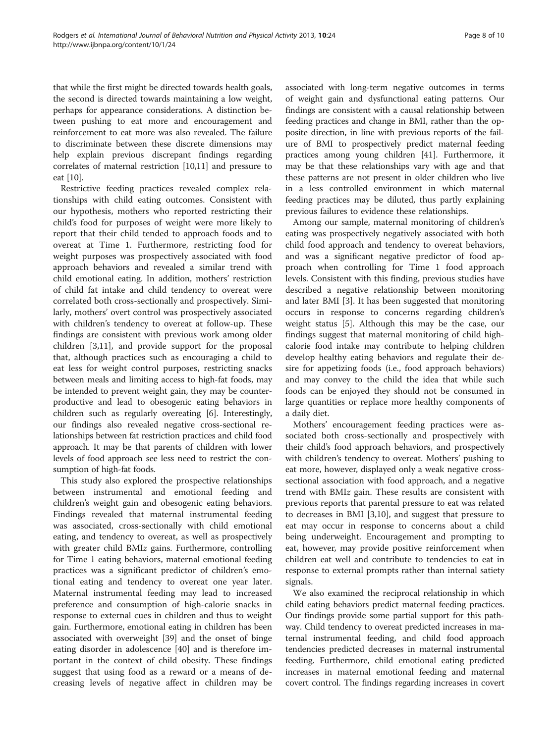that while the first might be directed towards health goals, the second is directed towards maintaining a low weight, perhaps for appearance considerations. A distinction between pushing to eat more and encouragement and reinforcement to eat more was also revealed. The failure to discriminate between these discrete dimensions may help explain previous discrepant findings regarding correlates of maternal restriction [\[10,11](#page-8-0)] and pressure to eat [\[10\]](#page-8-0).

Restrictive feeding practices revealed complex relationships with child eating outcomes. Consistent with our hypothesis, mothers who reported restricting their child's food for purposes of weight were more likely to report that their child tended to approach foods and to overeat at Time 1. Furthermore, restricting food for weight purposes was prospectively associated with food approach behaviors and revealed a similar trend with child emotional eating. In addition, mothers' restriction of child fat intake and child tendency to overeat were correlated both cross-sectionally and prospectively. Similarly, mothers' overt control was prospectively associated with children's tendency to overeat at follow-up. These findings are consistent with previous work among older children [[3,11\]](#page-8-0), and provide support for the proposal that, although practices such as encouraging a child to eat less for weight control purposes, restricting snacks between meals and limiting access to high-fat foods, may be intended to prevent weight gain, they may be counterproductive and lead to obesogenic eating behaviors in children such as regularly overeating [\[6](#page-8-0)]. Interestingly, our findings also revealed negative cross-sectional relationships between fat restriction practices and child food approach. It may be that parents of children with lower levels of food approach see less need to restrict the consumption of high-fat foods.

This study also explored the prospective relationships between instrumental and emotional feeding and children's weight gain and obesogenic eating behaviors. Findings revealed that maternal instrumental feeding was associated, cross-sectionally with child emotional eating, and tendency to overeat, as well as prospectively with greater child BMIz gains. Furthermore, controlling for Time 1 eating behaviors, maternal emotional feeding practices was a significant predictor of children's emotional eating and tendency to overeat one year later. Maternal instrumental feeding may lead to increased preference and consumption of high-calorie snacks in response to external cues in children and thus to weight gain. Furthermore, emotional eating in children has been associated with overweight [\[39](#page-9-0)] and the onset of binge eating disorder in adolescence [[40\]](#page-9-0) and is therefore important in the context of child obesity. These findings suggest that using food as a reward or a means of decreasing levels of negative affect in children may be

associated with long-term negative outcomes in terms of weight gain and dysfunctional eating patterns. Our findings are consistent with a causal relationship between feeding practices and change in BMI, rather than the opposite direction, in line with previous reports of the failure of BMI to prospectively predict maternal feeding practices among young children [[41](#page-9-0)]. Furthermore, it may be that these relationships vary with age and that these patterns are not present in older children who live in a less controlled environment in which maternal feeding practices may be diluted, thus partly explaining previous failures to evidence these relationships.

Among our sample, maternal monitoring of children's eating was prospectively negatively associated with both child food approach and tendency to overeat behaviors, and was a significant negative predictor of food approach when controlling for Time 1 food approach levels. Consistent with this finding, previous studies have described a negative relationship between monitoring and later BMI [[3\]](#page-8-0). It has been suggested that monitoring occurs in response to concerns regarding children's weight status [\[5](#page-8-0)]. Although this may be the case, our findings suggest that maternal monitoring of child highcalorie food intake may contribute to helping children develop healthy eating behaviors and regulate their desire for appetizing foods (i.e., food approach behaviors) and may convey to the child the idea that while such foods can be enjoyed they should not be consumed in large quantities or replace more healthy components of a daily diet.

Mothers' encouragement feeding practices were associated both cross-sectionally and prospectively with their child's food approach behaviors, and prospectively with children's tendency to overeat. Mothers' pushing to eat more, however, displayed only a weak negative crosssectional association with food approach, and a negative trend with BMIz gain. These results are consistent with previous reports that parental pressure to eat was related to decreases in BMI [\[3,10](#page-8-0)], and suggest that pressure to eat may occur in response to concerns about a child being underweight. Encouragement and prompting to eat, however, may provide positive reinforcement when children eat well and contribute to tendencies to eat in response to external prompts rather than internal satiety signals.

We also examined the reciprocal relationship in which child eating behaviors predict maternal feeding practices. Our findings provide some partial support for this pathway. Child tendency to overeat predicted increases in maternal instrumental feeding, and child food approach tendencies predicted decreases in maternal instrumental feeding. Furthermore, child emotional eating predicted increases in maternal emotional feeding and maternal covert control. The findings regarding increases in covert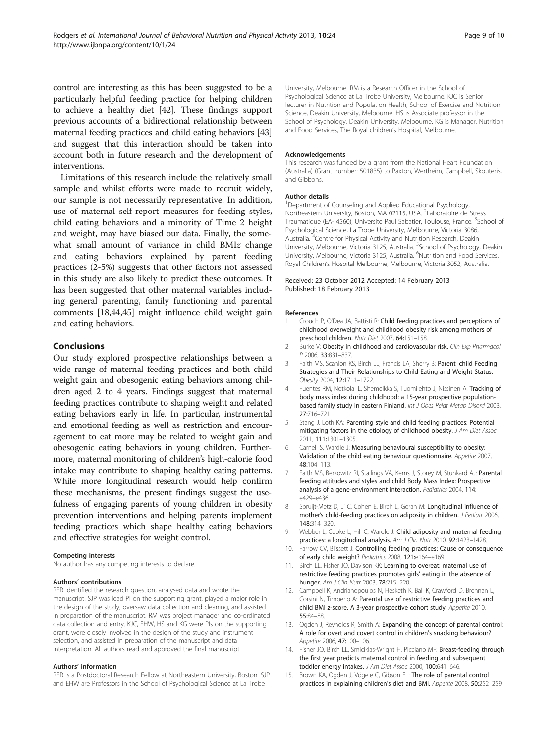<span id="page-8-0"></span>control are interesting as this has been suggested to be a particularly helpful feeding practice for helping children to achieve a healthy diet [[42](#page-9-0)]. These findings support previous accounts of a bidirectional relationship between maternal feeding practices and child eating behaviors [[43](#page-9-0)] and suggest that this interaction should be taken into account both in future research and the development of interventions.

Limitations of this research include the relatively small sample and whilst efforts were made to recruit widely, our sample is not necessarily representative. In addition, use of maternal self-report measures for feeding styles, child eating behaviors and a minority of Time 2 height and weight, may have biased our data. Finally, the somewhat small amount of variance in child BMIz change and eating behaviors explained by parent feeding practices (2-5%) suggests that other factors not assessed in this study are also likely to predict these outcomes. It has been suggested that other maternal variables including general parenting, family functioning and parental comments [[18,44,45\]](#page-9-0) might influence child weight gain and eating behaviors.

# Conclusions

Our study explored prospective relationships between a wide range of maternal feeding practices and both child weight gain and obesogenic eating behaviors among children aged 2 to 4 years. Findings suggest that maternal feeding practices contribute to shaping weight and related eating behaviors early in life. In particular, instrumental and emotional feeding as well as restriction and encouragement to eat more may be related to weight gain and obesogenic eating behaviors in young children. Furthermore, maternal monitoring of children's high-calorie food intake may contribute to shaping healthy eating patterns. While more longitudinal research would help confirm these mechanisms, the present findings suggest the usefulness of engaging parents of young children in obesity prevention interventions and helping parents implement feeding practices which shape healthy eating behaviors and effective strategies for weight control.

#### Competing interests

No author has any competing interests to declare.

#### Authors' contributions

RFR identified the research question, analysed data and wrote the manuscript. SJP was lead PI on the supporting grant, played a major role in the design of the study, oversaw data collection and cleaning, and assisted in preparation of the manuscript. RM was project manager and co-ordinated data collection and entry. KJC, EHW, HS and KG were PIs on the supporting grant, were closely involved in the design of the study and instrument selection, and assisted in preparation of the manuscript and data interpretation. All authors read and approved the final manuscript.

#### Authors' information

RFR is a Postdoctoral Research Fellow at Northeastern University, Boston. SJP and EHW are Professors in the School of Psychological Science at La Trobe

University, Melbourne. RM is a Research Officer in the School of Psychological Science at La Trobe University, Melbourne. KJC is Senior lecturer in Nutrition and Population Health, School of Exercise and Nutrition Science, Deakin University, Melbourne. HS is Associate professor in the School of Psychology, Deakin University, Melbourne. KG is Manager, Nutrition and Food Services, The Royal children's Hospital, Melbourne.

#### Acknowledgements

This research was funded by a grant from the National Heart Foundation (Australia) (Grant number: 501835) to Paxton, Wertheim, Campbell, Skouteris, and Gibbons.

#### Author details

<sup>1</sup>Department of Counseling and Applied Educational Psychology Northeastern University, Boston, MA 02115, USA. <sup>2</sup> Laboratoire de Stress Traumatique (EA- 4560), Universite Paul Sabatier, Toulouse, France. <sup>3</sup>School of Psychological Science, La Trobe University, Melbourne, Victoria 3086, Australia. <sup>4</sup>Centre for Physical Activity and Nutrition Research, Deakin University, Melbourne, Victoria 3125, Australia. <sup>5</sup>School of Psychology, Deakin University, Melbourne, Victoria 3125, Australia. <sup>6</sup>Nutrition and Food Services Royal Children's Hospital Melbourne, Melbourne, Victoria 3052, Australia.

#### Received: 23 October 2012 Accepted: 14 February 2013 Published: 18 February 2013

#### References

- 1. Crouch P, O'Dea JA, Battisti R: Child feeding practices and perceptions of childhood overweight and childhood obesity risk among mothers of preschool children. Nutr Diet 2007, 64:151–158.
- 2. Burke V: Obesity in childhood and cardiovascular risk. Clin Exp Pharmacol P 2006, 33:831–837.
- 3. Faith MS, Scanlon KS, Birch LL, Francis LA, Sherry B: Parent–child Feeding Strategies and Their Relationships to Child Eating and Weight Status. Obesity 2004, 12:1711–1722.
- Fuentes RM, Notkola IL, Shemeikka S, Tuomilehto J, Nissinen A: Tracking of body mass index during childhood: a 15-year prospective populationbased family study in eastern Finland. Int J Obes Relat Metab Disord 2003, 27:716–721.
- 5. Stang J, Loth KA: Parenting style and child feeding practices: Potential mitigating factors in the etiology of childhood obesity. J Am Diet Assoc 2011, 111:1301–1305.
- 6. Carnell S, Wardle J: Measuring behavioural susceptibility to obesity: Validation of the child eating behaviour questionnaire. Appetite 2007, 48:104–113.
- 7. Faith MS, Berkowitz RI, Stallings VA, Kerns J, Storey M, Stunkard AJ: Parental feeding attitudes and styles and child Body Mass Index: Prospective analysis of a gene-environment interaction. Pediatrics 2004, 114: e429–e436.
- 8. Spruijt-Metz D, Li C, Cohen E, Birch L, Goran M: Longitudinal influence of mother's child-feeding practices on adiposity in children. J Pediatr 2006, 148:314–320.
- 9. Webber L, Cooke L, Hill C, Wardle J: Child adiposity and maternal feeding practices: a longitudinal analysis. Am J Clin Nutr 2010, 92:1423-1428.
- 10. Farrow CV, Blissett J: Controlling feeding practices: Cause or consequence of early child weight? Pediatrics 2008, 121:e164–e169.
- 11. Birch LL, Fisher JO, Davison KK: Learning to overeat: maternal use of restrictive feeding practices promotes girls' eating in the absence of hunger. Am J Clin Nutr 2003, 78:215–220.
- 12. Campbell K, Andrianopoulos N, Hesketh K, Ball K, Crawford D, Brennan L, Corsini N, Timperio A: Parental use of restrictive feeding practices and child BMI z-score. A 3-year prospective cohort study. Appetite 2010, 55:84–88.
- 13. Ogden J, Reynolds R, Smith A: Expanding the concept of parental control: A role for overt and covert control in children's snacking behaviour? Appetite 2006, 47:100–106.
- 14. Fisher JO, Birch LL, Smiciklas-Wright H, Picciano MF: Breast-feeding through the first year predicts maternal control in feeding and subsequent toddler energy intakes. J Am Diet Assoc 2000, 100:641–646.
- 15. Brown KA, Ogden J, Vögele C, Gibson EL: The role of parental control practices in explaining children's diet and BMI. Appetite 2008, 50:252–259.